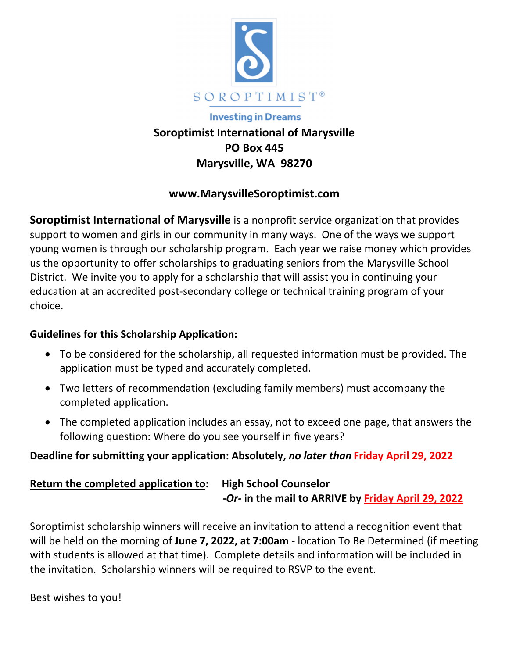

# **Investing in Dreams**

# **Soroptimist International of Marysville PO Box 445 Marysville, WA 98270**

### **www.MarysvilleSoroptimist.com**

**Soroptimist International of Marysville** is a nonprofit service organization that provides support to women and girls in our community in many ways. One of the ways we support young women is through our scholarship program. Each year we raise money which provides us the opportunity to offer scholarships to graduating seniors from the Marysville School District. We invite you to apply for a scholarship that will assist you in continuing your education at an accredited post‐secondary college or technical training program of your choice.

#### **Guidelines for this Scholarship Application:**

- To be considered for the scholarship, all requested information must be provided. The application must be typed and accurately completed.
- Two letters of recommendation (excluding family members) must accompany the completed application.
- The completed application includes an essay, not to exceed one page, that answers the following question: Where do you see yourself in five years?

### **Deadline for submitting your application: Absolutely,** *no later than* **Friday April 29, 2022**

# **Return the completed application to: High School Counselor ‐***Or‐* **in the mail to ARRIVE by Friday April 29, 2022**

Soroptimist scholarship winners will receive an invitation to attend a recognition event that will be held on the morning of **June 7, 2022, at 7:00am** ‐ location To Be Determined (if meeting with students is allowed at that time). Complete details and information will be included in the invitation. Scholarship winners will be required to RSVP to the event.

Best wishes to you!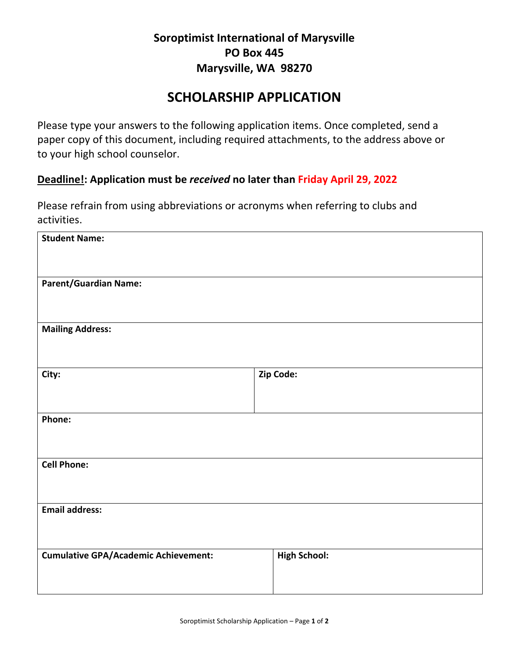# **Soroptimist International of Marysville PO Box 445 Marysville, WA 98270**

# **SCHOLARSHIP APPLICATION**

Please type your answers to the following application items. Once completed, send a paper copy of this document, including required attachments, to the address above or to your high school counselor.

#### **Deadline!: Application must be** *received* **no later than Friday April 29, 2022**

Please refrain from using abbreviations or acronyms when referring to clubs and activities.

| <b>Student Name:</b>                        |                     |
|---------------------------------------------|---------------------|
| <b>Parent/Guardian Name:</b>                |                     |
| <b>Mailing Address:</b>                     |                     |
| City:                                       | Zip Code:           |
| Phone:                                      |                     |
| <b>Cell Phone:</b>                          |                     |
| Email address:                              |                     |
| <b>Cumulative GPA/Academic Achievement:</b> | <b>High School:</b> |